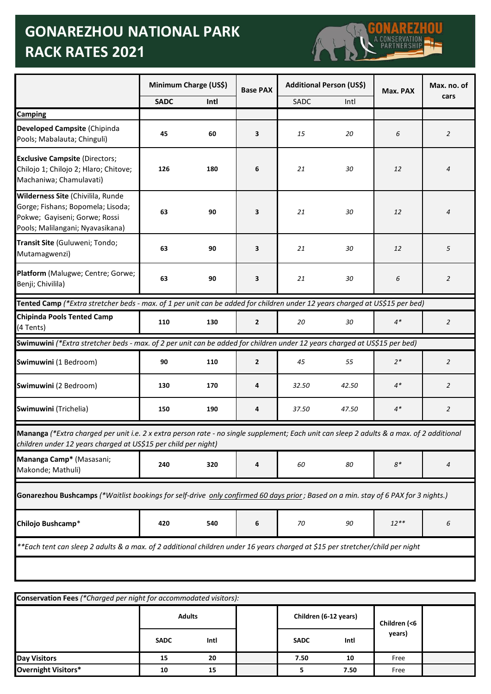## **GONAREZHOU NATIONAL PARK RACK RATES 2021**



| Camping<br>Developed Campsite (Chipinda<br>Pools; Mabalauta; Chinguli)<br><b>Exclusive Campsite (Directors;</b><br>Chilojo 1; Chilojo 2; Hlaro; Chitove;<br>Machaniwa; Chamulavati)<br>Gorge; Fishans; Bopomela; Lisoda;<br>Pokwe; Gayiseni; Gorwe; Rossi<br>Mutamagwenzi)<br>Platform (Malugwe; Centre; Gorwe;<br>Benji; Chivilila)<br><b>Chipinda Pools Tented Camp</b><br>(4 Tents)                                | <b>SADC</b><br>45<br>126 | Intl<br>60 | <b>Base PAX</b><br>3 | SADC  | Intl  | Max. PAX | cars           |
|-----------------------------------------------------------------------------------------------------------------------------------------------------------------------------------------------------------------------------------------------------------------------------------------------------------------------------------------------------------------------------------------------------------------------|--------------------------|------------|----------------------|-------|-------|----------|----------------|
|                                                                                                                                                                                                                                                                                                                                                                                                                       |                          |            |                      |       |       |          |                |
|                                                                                                                                                                                                                                                                                                                                                                                                                       |                          |            |                      |       |       |          |                |
|                                                                                                                                                                                                                                                                                                                                                                                                                       |                          |            |                      | 15    | 20    | 6        | 2              |
| Wilderness Site (Chivilila, Runde<br>Pools; Malilangani; Nyavasikana)<br>Transit Site (Guluweni; Tondo;<br>Tented Camp (*Extra stretcher beds - max. of 1 per unit can be added for children under 12 years charged at US\$15 per bed)<br>Swimuwini (*Extra stretcher beds - max. of 2 per unit can be added for children under 12 years charged at US\$15 per bed)<br>Swimuwini (1 Bedroom)<br>Swimuwini (2 Bedroom) |                          | 180        | 6                    | 21    | 30    | 12       | 4              |
|                                                                                                                                                                                                                                                                                                                                                                                                                       | 63                       | 90         | 3                    | 21    | 30    | 12       | 4              |
|                                                                                                                                                                                                                                                                                                                                                                                                                       | 63                       | 90         | 3                    | 21    | 30    | 12       | 5              |
|                                                                                                                                                                                                                                                                                                                                                                                                                       | 63                       | 90         | 3                    | 21    | 30    | 6        | 2              |
|                                                                                                                                                                                                                                                                                                                                                                                                                       |                          |            |                      |       |       |          |                |
|                                                                                                                                                                                                                                                                                                                                                                                                                       | 110                      | 130        | $\mathbf{2}$         | 20    | 30    | $4*$     | 2              |
|                                                                                                                                                                                                                                                                                                                                                                                                                       |                          |            |                      |       |       |          |                |
|                                                                                                                                                                                                                                                                                                                                                                                                                       | 90                       | 110        | $\overline{2}$       | 45    | 55    | $2*$     | $\overline{2}$ |
|                                                                                                                                                                                                                                                                                                                                                                                                                       | 130                      | 170        | 4                    | 32.50 | 42.50 | $4*$     | $\overline{2}$ |
| Swimuwini (Trichelia)                                                                                                                                                                                                                                                                                                                                                                                                 | 150                      | 190        | 4                    | 37.50 | 47.50 | $4*$     | $\overline{2}$ |
| Mananga (*Extra charged per unit i.e. 2 x extra person rate - no single supplement; Each unit can sleep 2 adults & a max. of 2 additional<br>children under 12 years charged at US\$15 per child per night)                                                                                                                                                                                                           |                          |            |                      |       |       |          |                |
| Mananga Camp* (Masasani;<br>Makonde; Mathuli)                                                                                                                                                                                                                                                                                                                                                                         | 240                      | 320        | 4                    | 60    | 80    | $8*$     | 4              |
| Gonarezhou Bushcamps (*Waitlist bookings for self-drive only confirmed 60 days prior; Based on a min. stay of 6 PAX for 3 nights.)                                                                                                                                                                                                                                                                                    |                          |            |                      |       |       |          |                |
| Chilojo Bushcamp*                                                                                                                                                                                                                                                                                                                                                                                                     | 420                      | 540        | 6                    | 70    | 90    | $12***$  | 6              |
| **Each tent can sleep 2 adults & a max. of 2 additional children under 16 years charged at \$15 per stretcher/child per night                                                                                                                                                                                                                                                                                         |                          |            |                      |       |       |          |                |
|                                                                                                                                                                                                                                                                                                                                                                                                                       |                          |            |                      |       |       |          |                |

| Conservation Fees (*Charged per night for accommodated visitors): |               |      |  |                       |      |              |  |  |
|-------------------------------------------------------------------|---------------|------|--|-----------------------|------|--------------|--|--|
|                                                                   | <b>Adults</b> |      |  | Children (6-12 years) |      | Children (<6 |  |  |
|                                                                   | <b>SADC</b>   | Intl |  | <b>SADC</b>           | Intl | years)       |  |  |
| <b>Day Visitors</b>                                               | 15            | 20   |  | 7.50                  | 10   | Free         |  |  |
| <b>Overnight Visitors*</b>                                        | 10            | 15   |  |                       | 7.50 | Free         |  |  |